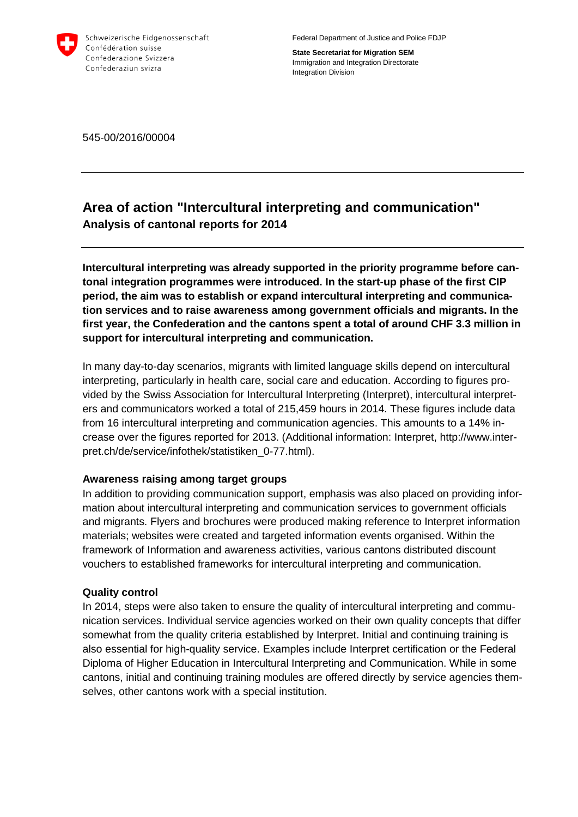

Federal Department of Justice and Police FDJP

**State Secretariat for Migration SEM** Immigration and Integration Directorate Integration Division

545-00/2016/00004

## **Area of action "Intercultural interpreting and communication" Analysis of cantonal reports for 2014**

**Intercultural interpreting was already supported in the priority programme before cantonal integration programmes were introduced. In the start-up phase of the first CIP period, the aim was to establish or expand intercultural interpreting and communication services and to raise awareness among government officials and migrants. In the first year, the Confederation and the cantons spent a total of around CHF 3.3 million in support for intercultural interpreting and communication.**

In many day-to-day scenarios, migrants with limited language skills depend on intercultural interpreting, particularly in health care, social care and education. According to figures provided by the Swiss Association for Intercultural Interpreting (Interpret), intercultural interpreters and communicators worked a total of 215,459 hours in 2014. These figures include data from 16 intercultural interpreting and communication agencies. This amounts to a 14% increase over the figures reported for 2013. (Additional information: Interpret, http://www.interpret.ch/de/service/infothek/statistiken\_0-77.html).

## **Awareness raising among target groups**

In addition to providing communication support, emphasis was also placed on providing information about intercultural interpreting and communication services to government officials and migrants. Flyers and brochures were produced making reference to Interpret information materials; websites were created and targeted information events organised. Within the framework of Information and awareness activities, various cantons distributed discount vouchers to established frameworks for intercultural interpreting and communication.

## **Quality control**

In 2014, steps were also taken to ensure the quality of intercultural interpreting and communication services. Individual service agencies worked on their own quality concepts that differ somewhat from the quality criteria established by Interpret. Initial and continuing training is also essential for high-quality service. Examples include Interpret certification or the Federal Diploma of Higher Education in Intercultural Interpreting and Communication. While in some cantons, initial and continuing training modules are offered directly by service agencies themselves, other cantons work with a special institution.